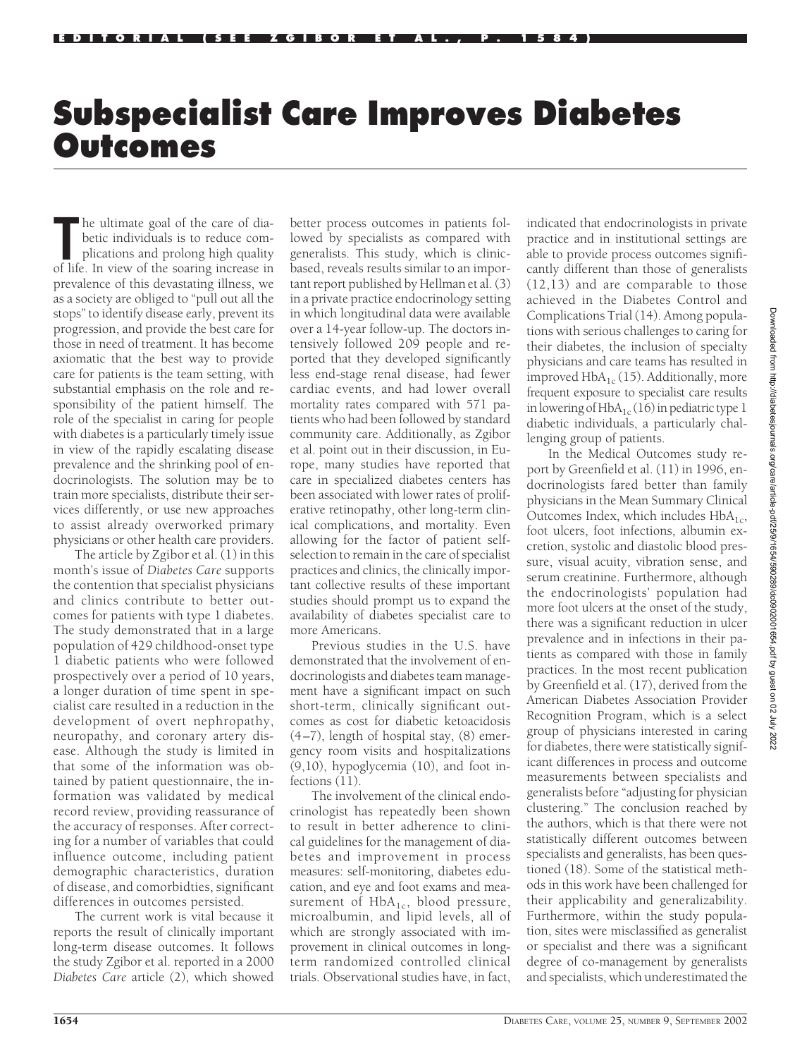## **Subspecialist Care Improves Diabetes Outcomes**

The ultimate goal of the care of diabetic individuals is to reduce complications and prolong high quality of life. In view of the soaring increase in he ultimate goal of the care of diabetic individuals is to reduce complications and prolong high quality prevalence of this devastating illness, we as a society are obliged to "pull out all the stops" to identify disease early, prevent its progression, and provide the best care for those in need of treatment. It has become axiomatic that the best way to provide care for patients is the team setting, with substantial emphasis on the role and responsibility of the patient himself. The role of the specialist in caring for people with diabetes is a particularly timely issue in view of the rapidly escalating disease prevalence and the shrinking pool of endocrinologists. The solution may be to train more specialists, distribute their services differently, or use new approaches to assist already overworked primary physicians or other health care providers.

The article by Zgibor et al. (1) in this month's issue of *Diabetes Care* supports the contention that specialist physicians and clinics contribute to better outcomes for patients with type 1 diabetes. The study demonstrated that in a large population of 429 childhood-onset type 1 diabetic patients who were followed prospectively over a period of 10 years, a longer duration of time spent in specialist care resulted in a reduction in the development of overt nephropathy, neuropathy, and coronary artery disease. Although the study is limited in that some of the information was obtained by patient questionnaire, the information was validated by medical record review, providing reassurance of the accuracy of responses. After correcting for a number of variables that could influence outcome, including patient demographic characteristics, duration of disease, and comorbidties, significant differences in outcomes persisted.

The current work is vital because it reports the result of clinically important long-term disease outcomes. It follows the study Zgibor et al. reported in a 2000 *Diabetes Care* article (2), which showed

better process outcomes in patients followed by specialists as compared with generalists. This study, which is clinicbased, reveals results similar to an important report published by Hellman et al. (3) in a private practice endocrinology setting in which longitudinal data were available over a 14-year follow-up. The doctors intensively followed 209 people and reported that they developed significantly less end-stage renal disease, had fewer cardiac events, and had lower overall mortality rates compared with 571 patients who had been followed by standard community care. Additionally, as Zgibor et al. point out in their discussion, in Europe, many studies have reported that care in specialized diabetes centers has been associated with lower rates of proliferative retinopathy, other long-term clinical complications, and mortality. Even allowing for the factor of patient selfselection to remain in the care of specialist practices and clinics, the clinically important collective results of these important studies should prompt us to expand the availability of diabetes specialist care to more Americans.

Previous studies in the U.S. have demonstrated that the involvement of endocrinologists and diabetes team management have a significant impact on such short-term, clinically significant outcomes as cost for diabetic ketoacidosis (4–7), length of hospital stay, (8) emergency room visits and hospitalizations (9,10), hypoglycemia (10), and foot infections (11).

The involvement of the clinical endocrinologist has repeatedly been shown to result in better adherence to clinical guidelines for the management of diabetes and improvement in process measures: self-monitoring, diabetes education, and eye and foot exams and measurement of  $HbA_{1c}$ , blood pressure, microalbumin, and lipid levels, all of which are strongly associated with improvement in clinical outcomes in longterm randomized controlled clinical trials. Observational studies have, in fact, indicated that endocrinologists in private practice and in institutional settings are able to provide process outcomes significantly different than those of generalists (12,13) and are comparable to those achieved in the Diabetes Control and Complications Trial (14). Among populations with serious challenges to caring for their diabetes, the inclusion of specialty physicians and care teams has resulted in improved  $HbA_{1c}$  (15). Additionally, more frequent exposure to specialist care results in lowering of  $HbA_{1c}$  (16) in pediatric type 1 diabetic individuals, a particularly challenging group of patients.

In the Medical Outcomes study report by Greenfield et al. (11) in 1996, endocrinologists fared better than family physicians in the Mean Summary Clinical Outcomes Index, which includes  $HbA_{1c}$ , foot ulcers, foot infections, albumin excretion, systolic and diastolic blood pressure, visual acuity, vibration sense, and serum creatinine. Furthermore, although the endocrinologists' population had more foot ulcers at the onset of the study, there was a significant reduction in ulcer prevalence and in infections in their patients as compared with those in family practices. In the most recent publication by Greenfield et al. (17), derived from the American Diabetes Association Provider Recognition Program, which is a select group of physicians interested in caring for diabetes, there were statistically significant differences in process and outcome measurements between specialists and generalists before "adjusting for physician clustering." The conclusion reached by the authors, which is that there were not statistically different outcomes between specialists and generalists, has been questioned (18). Some of the statistical methods in this work have been challenged for their applicability and generalizability. Furthermore, within the study population, sites were misclassified as generalist or specialist and there was a significant degree of co-management by generalists and specialists, which underestimated the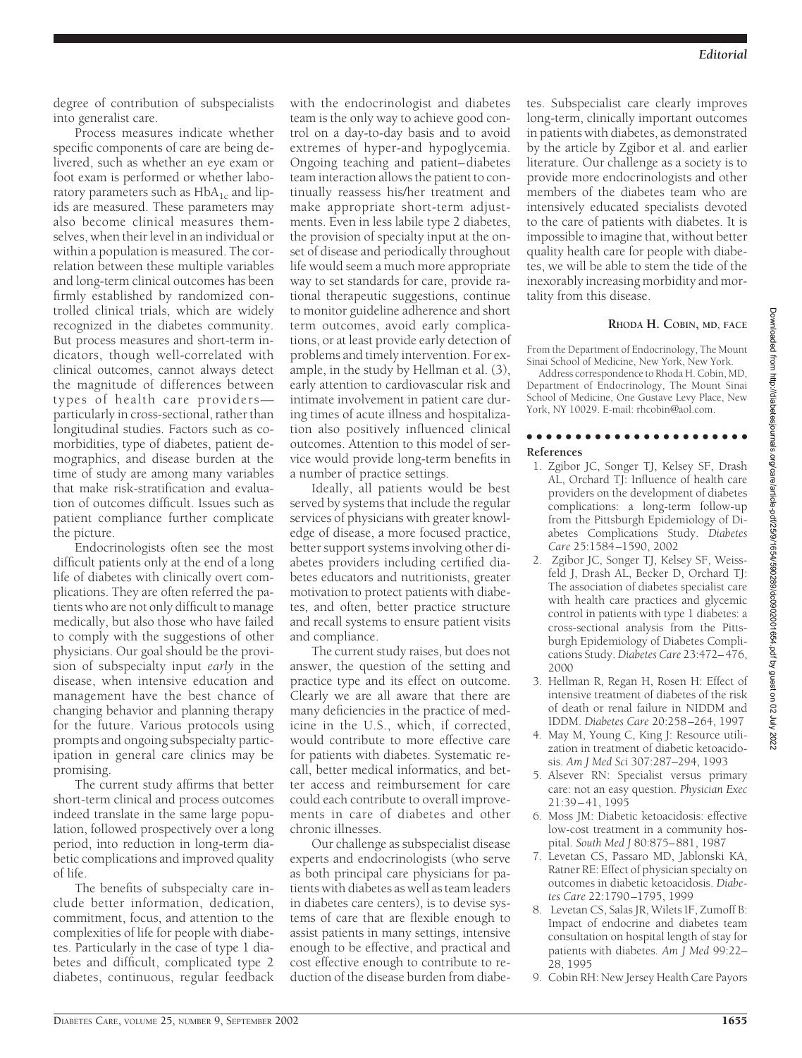degree of contribution of subspecialists into generalist care.

Process measures indicate whether specific components of care are being delivered, such as whether an eye exam or foot exam is performed or whether laboratory parameters such as  $HbA_{1c}$  and lipids are measured. These parameters may also become clinical measures themselves, when their level in an individual or within a population is measured. The correlation between these multiple variables and long-term clinical outcomes has been firmly established by randomized controlled clinical trials, which are widely recognized in the diabetes community. But process measures and short-term indicators, though well-correlated with clinical outcomes, cannot always detect the magnitude of differences between types of health care providers particularly in cross-sectional, rather than longitudinal studies. Factors such as comorbidities, type of diabetes, patient demographics, and disease burden at the time of study are among many variables that make risk-stratification and evaluation of outcomes difficult. Issues such as patient compliance further complicate the picture.

Endocrinologists often see the most difficult patients only at the end of a long life of diabetes with clinically overt complications. They are often referred the patients who are not only difficult to manage medically, but also those who have failed to comply with the suggestions of other physicians. Our goal should be the provision of subspecialty input *early* in the disease, when intensive education and management have the best chance of changing behavior and planning therapy for the future. Various protocols using prompts and ongoing subspecialty participation in general care clinics may be promising.

The current study affirms that better short-term clinical and process outcomes indeed translate in the same large population, followed prospectively over a long period, into reduction in long-term diabetic complications and improved quality of life.

The benefits of subspecialty care include better information, dedication, commitment, focus, and attention to the complexities of life for people with diabetes. Particularly in the case of type 1 diabetes and difficult, complicated type 2 diabetes, continuous, regular feedback with the endocrinologist and diabetes team is the only way to achieve good control on a day-to-day basis and to avoid extremes of hyper-and hypoglycemia. Ongoing teaching and patient–diabetes team interaction allows the patient to continually reassess his/her treatment and make appropriate short-term adjustments. Even in less labile type 2 diabetes, the provision of specialty input at the onset of disease and periodically throughout life would seem a much more appropriate way to set standards for care, provide rational therapeutic suggestions, continue to monitor guideline adherence and short term outcomes, avoid early complications, or at least provide early detection of problems and timely intervention. For example, in the study by Hellman et al. (3), early attention to cardiovascular risk and intimate involvement in patient care during times of acute illness and hospitalization also positively influenced clinical outcomes. Attention to this model of service would provide long-term benefits in a number of practice settings.

Ideally, all patients would be best served by systems that include the regular services of physicians with greater knowledge of disease, a more focused practice, better support systems involving other diabetes providers including certified diabetes educators and nutritionists, greater motivation to protect patients with diabetes, and often, better practice structure and recall systems to ensure patient visits and compliance.

The current study raises, but does not answer, the question of the setting and practice type and its effect on outcome. Clearly we are all aware that there are many deficiencies in the practice of medicine in the U.S., which, if corrected, would contribute to more effective care for patients with diabetes. Systematic recall, better medical informatics, and better access and reimbursement for care could each contribute to overall improvements in care of diabetes and other chronic illnesses.

Our challenge as subspecialist disease experts and endocrinologists (who serve as both principal care physicians for patients with diabetes as well as team leaders in diabetes care centers), is to devise systems of care that are flexible enough to assist patients in many settings, intensive enough to be effective, and practical and cost effective enough to contribute to reduction of the disease burden from diabetes. Subspecialist care clearly improves long-term, clinically important outcomes in patients with diabetes, as demonstrated by the article by Zgibor et al. and earlier literature. Our challenge as a society is to provide more endocrinologists and other members of the diabetes team who are intensively educated specialists devoted to the care of patients with diabetes. It is impossible to imagine that, without better quality health care for people with diabetes, we will be able to stem the tide of the inexorably increasing morbidity and mortality from this disease.

## **RHODA H. COBIN, MD, FACE**

From the Department of Endocrinology, The Mount Sinai School of Medicine, New York, New York.

Address correspondence to Rhoda H. Cobin, MD, Department of Endocrinology, The Mount Sinai School of Medicine, One Gustave Levy Place, New York, NY 10029. E-mail: rhcobin@aol.com.

## ●●●●●●●●●●●●●●●●●●●●●●●

## **References**

- 1. Zgibor JC, Songer TJ, Kelsey SF, Drash AL, Orchard TJ: Influence of health care providers on the development of diabetes complications: a long-term follow-up from the Pittsburgh Epidemiology of Diabetes Complications Study. *Diabetes Care* 25:1584–1590, 2002
- 2. Zgibor JC, Songer TJ, Kelsey SF, Weissfeld J, Drash AL, Becker D, Orchard TJ: The association of diabetes specialist care with health care practices and glycemic control in patients with type 1 diabetes: a cross-sectional analysis from the Pittsburgh Epidemiology of Diabetes Complications Study. *Diabetes Care* 23:472–476, 2000
- 3. Hellman R, Regan H, Rosen H: Effect of intensive treatment of diabetes of the risk of death or renal failure in NIDDM and IDDM. *Diabetes Care* 20:258–264, 1997
- 4. May M, Young C, King J: Resource utilization in treatment of diabetic ketoacidosis. *Am J Med Sci* 307:287–294, 1993
- 5. Alsever RN: Specialist versus primary care: not an easy question. *Physician Exec* 21:39–41, 1995
- 6. Moss JM: Diabetic ketoacidosis: effective low-cost treatment in a community hospital. *South Med J* 80:875–881, 1987
- 7. Levetan CS, Passaro MD, Jablonski KA, Ratner RE: Effect of physician specialty on outcomes in diabetic ketoacidosis. *Diabetes Care* 22:1790–1795, 1999
- 8. Levetan CS, Salas JR, Wilets IF, Zumoff B: Impact of endocrine and diabetes team consultation on hospital length of stay for patients with diabetes. *Am J Med* 99:22– 28, 1995
- 9. Cobin RH: New Jersey Health Care Payors